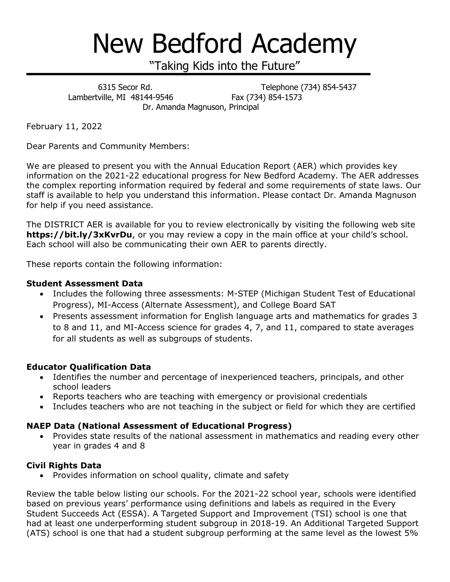# New Bedford Academy

"Taking Kids into the Future"

 6315 Secor Rd. Telephone (734) 854-5437 Lambertville, MI 48144-9546 Fax (734) 854-1573 Dr. Amanda Magnuson, Principal

February 11, 2022

Dear Parents and Community Members:

We are pleased to present you with the Annual Education Report (AER) which provides key information on the 2021-22 educational progress for New Bedford Academy. The AER addresses the complex reporting information required by federal and some requirements of state laws. Our staff is available to help you understand this information. Please contact Dr. Amanda Magnuson for help if you need assistance.

The DISTRICT AER is available for you to review electronically by visiting the following web site **https://bit.ly/3xKvrDu**, or you may review a copy in the main office at your child's school. Each school will also be communicating their own AER to parents directly.

These reports contain the following information:

### **Student Assessment Data**

- Includes the following three assessments: M-STEP (Michigan Student Test of Educational Progress), MI-Access (Alternate Assessment), and College Board SAT
- Presents assessment information for English language arts and mathematics for grades 3 to 8 and 11, and MI-Access science for grades 4, 7, and 11, compared to state averages for all students as well as subgroups of students.

## **Educator Qualification Data**

- Identifies the number and percentage of inexperienced teachers, principals, and other school leaders
- Reports teachers who are teaching with emergency or provisional credentials
- Includes teachers who are not teaching in the subject or field for which they are certified

#### **NAEP Data (National Assessment of Educational Progress)**

 Provides state results of the national assessment in mathematics and reading every other year in grades 4 and 8

## **Civil Rights Data**

• Provides information on school quality, climate and safety

Review the table below listing our schools. For the 2021-22 school year, schools were identified based on previous years' performance using definitions and labels as required in the Every Student Succeeds Act (ESSA). A Targeted Support and Improvement (TSI) school is one that had at least one underperforming student subgroup in 2018-19. An Additional Targeted Support (ATS) school is one that had a student subgroup performing at the same level as the lowest 5%